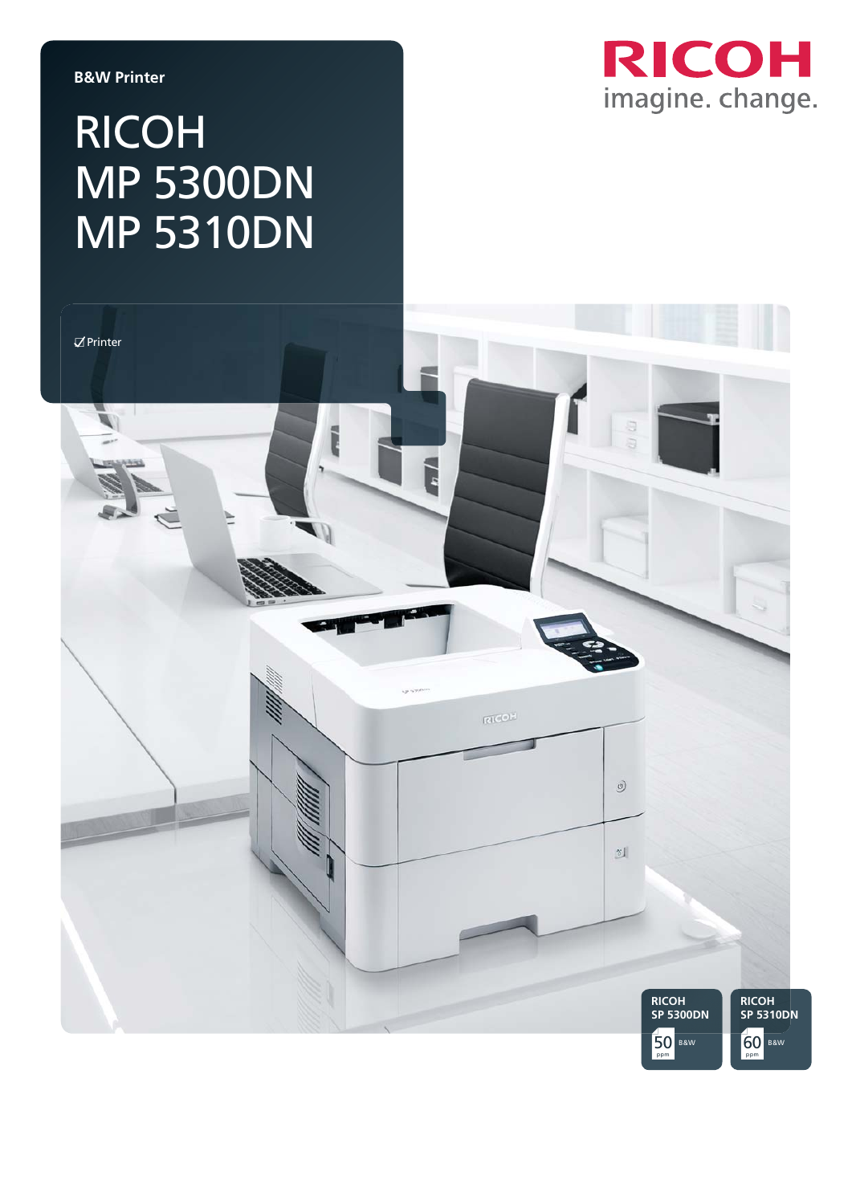#### **B&W Printer**

## RICOH MP 5300DN MP 5310DN



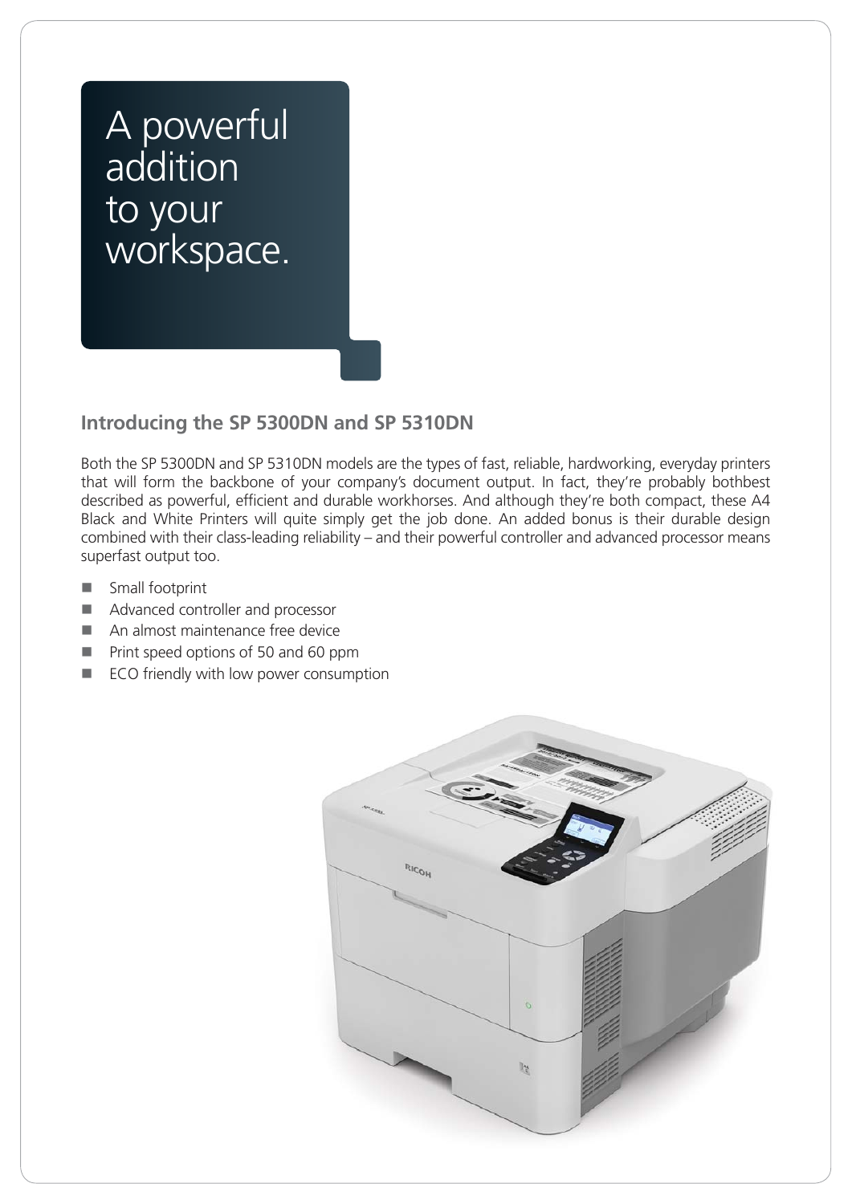### A powerful **addition** to your workspace.

### **Introducing the SP 5300DN and SP 5310DN**

Both the SP 5300DN and SP 5310DN models are the types of fast, reliable, hardworking, everyday printers that will form the backbone of your company's document output. In fact, they're probably bothbest described as powerful, efficient and durable workhorses. And although they're both compact, these A4 Black and White Printers will quite simply get the job done. An added bonus is their durable design combined with their class-leading reliability – and their powerful controller and advanced processor means superfast output too.

- **Small footprint**
- Advanced controller and processor
- An almost maintenance free device
- **Print speed options of 50 and 60 ppm**
- **ECO** friendly with low power consumption

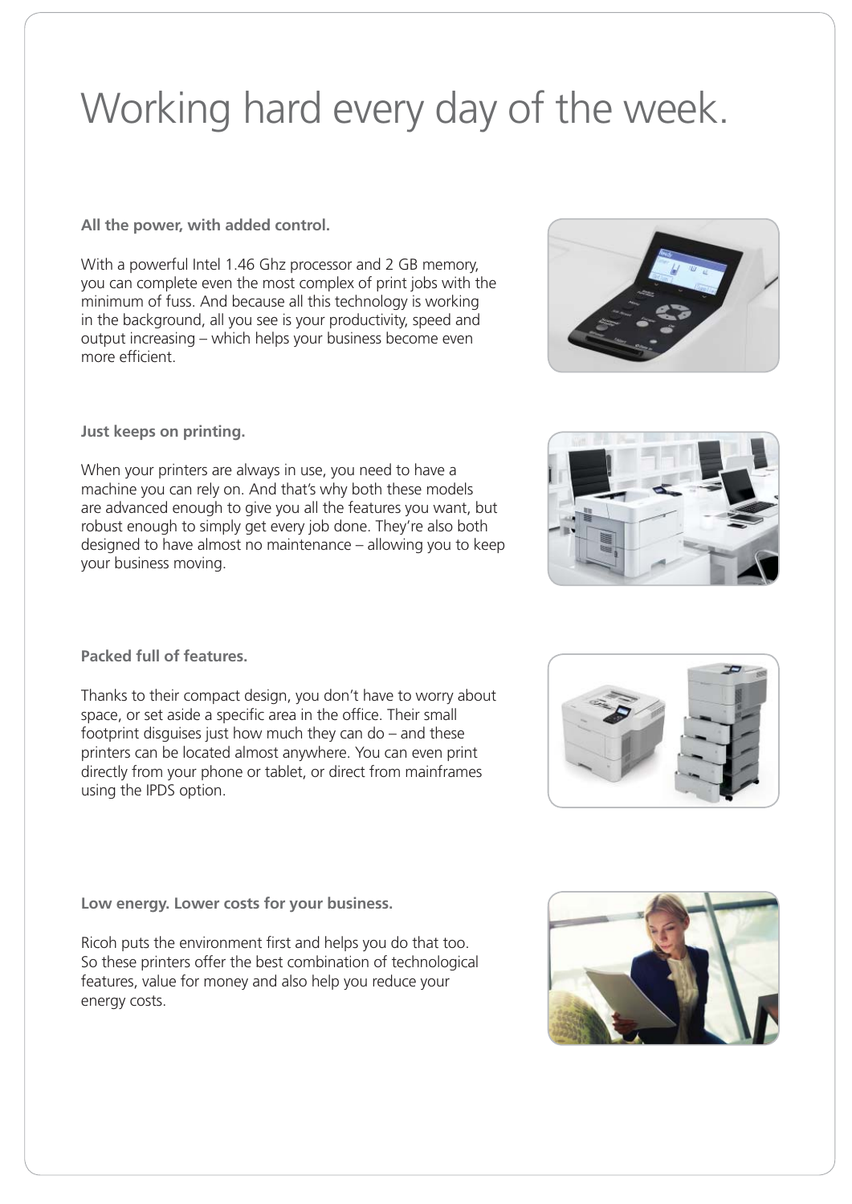# Working hard every day of the week.

**All the power, with added control.** 

With a powerful Intel 1.46 Ghz processor and 2 GB memory, you can complete even the most complex of print jobs with the minimum of fuss. And because all this technology is working in the background, all you see is your productivity, speed and output increasing – which helps your business become even more efficient.

**Just keeps on printing.** 

When your printers are always in use, you need to have a machine you can rely on. And that's why both these models are advanced enough to give you all the features you want, but robust enough to simply get every job done. They're also both designed to have almost no maintenance – allowing you to keep your business moving.

**Packed full of features.** 

Thanks to their compact design, you don't have to worry about space, or set aside a specific area in the office. Their small footprint disguises just how much they can do – and these printers can be located almost anywhere. You can even print directly from your phone or tablet, or direct from mainframes using the IPDS option.

**Low energy. Lower costs for your business.**

Ricoh puts the environment first and helps you do that too. So these printers offer the best combination of technological features, value for money and also help you reduce your energy costs.